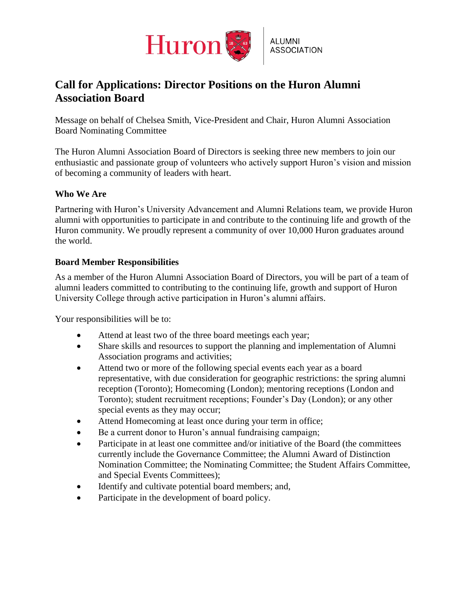

# **Call for Applications: Director Positions on the Huron Alumni Association Board**

Message on behalf of Chelsea Smith, Vice-President and Chair, Huron Alumni Association Board Nominating Committee

The Huron Alumni Association Board of Directors is seeking three new members to join our enthusiastic and passionate group of volunteers who actively support Huron's vision and mission of becoming a community of leaders with heart.

### **Who We Are**

Partnering with Huron's University Advancement and Alumni Relations team, we provide Huron alumni with opportunities to participate in and contribute to the continuing life and growth of the Huron community. We proudly represent a community of over 10,000 Huron graduates around the world.

### **Board Member Responsibilities**

As a member of the Huron Alumni Association Board of Directors, you will be part of a team of alumni leaders committed to contributing to the continuing life, growth and support of Huron University College through active participation in Huron's alumni affairs.

Your responsibilities will be to:

- Attend at least two of the three board meetings each year;
- Share skills and resources to support the planning and implementation of Alumni Association programs and activities;
- Attend two or more of the following special events each year as a board representative, with due consideration for geographic restrictions: the spring alumni reception (Toronto); Homecoming (London); mentoring receptions (London and Toronto); student recruitment receptions; Founder's Day (London); or any other special events as they may occur;
- Attend Homecoming at least once during your term in office;
- Be a current donor to Huron's annual fundraising campaign;
- Participate in at least one committee and/or initiative of the Board (the committees currently include the Governance Committee; the Alumni Award of Distinction Nomination Committee; the Nominating Committee; the Student Affairs Committee, and Special Events Committees);
- Identify and cultivate potential board members; and,
- Participate in the development of board policy.